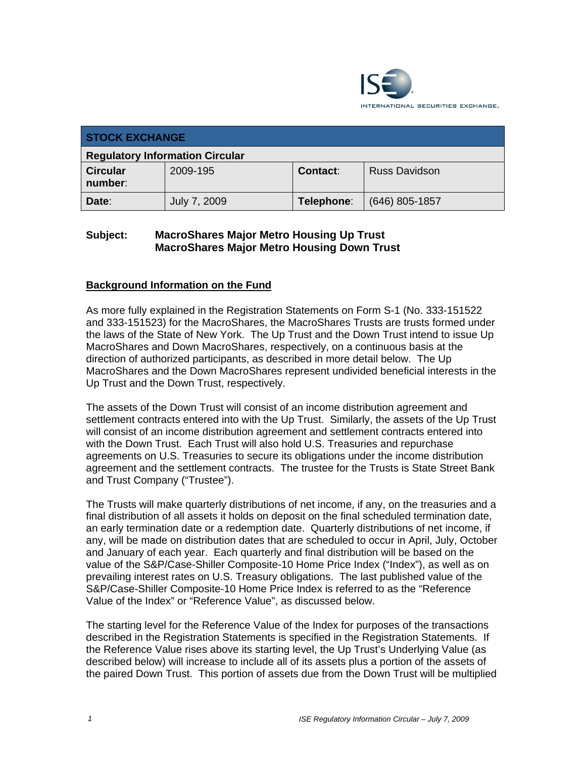

| <b>STOCK EXCHANGE</b>                  |              |            |                      |  |  |
|----------------------------------------|--------------|------------|----------------------|--|--|
| <b>Regulatory Information Circular</b> |              |            |                      |  |  |
| <b>Circular</b><br>number:             | 2009-195     | Contact:   | <b>Russ Davidson</b> |  |  |
| Date:                                  | July 7, 2009 | Telephone: | $(646)$ 805-1857     |  |  |

## **Subject: MacroShares Major Metro Housing Up Trust MacroShares Major Metro Housing Down Trust**

### **Background Information on the Fund**

As more fully explained in the Registration Statements on Form S-1 (No. 333-151522 and 333-151523) for the MacroShares, the MacroShares Trusts are trusts formed under the laws of the State of New York. The Up Trust and the Down Trust intend to issue Up MacroShares and Down MacroShares, respectively, on a continuous basis at the direction of authorized participants, as described in more detail below. The Up MacroShares and the Down MacroShares represent undivided beneficial interests in the Up Trust and the Down Trust, respectively.

The assets of the Down Trust will consist of an income distribution agreement and settlement contracts entered into with the Up Trust. Similarly, the assets of the Up Trust will consist of an income distribution agreement and settlement contracts entered into with the Down Trust. Each Trust will also hold U.S. Treasuries and repurchase agreements on U.S. Treasuries to secure its obligations under the income distribution agreement and the settlement contracts. The trustee for the Trusts is State Street Bank and Trust Company ("Trustee").

The Trusts will make quarterly distributions of net income, if any, on the treasuries and a final distribution of all assets it holds on deposit on the final scheduled termination date, an early termination date or a redemption date. Quarterly distributions of net income, if any, will be made on distribution dates that are scheduled to occur in April, July, October and January of each year. Each quarterly and final distribution will be based on the value of the S&P/Case-Shiller Composite-10 Home Price Index ("Index"), as well as on prevailing interest rates on U.S. Treasury obligations. The last published value of the S&P/Case-Shiller Composite-10 Home Price Index is referred to as the "Reference Value of the Index" or "Reference Value", as discussed below.

The starting level for the Reference Value of the Index for purposes of the transactions described in the Registration Statements is specified in the Registration Statements. If the Reference Value rises above its starting level, the Up Trust's Underlying Value (as described below) will increase to include all of its assets plus a portion of the assets of the paired Down Trust. This portion of assets due from the Down Trust will be multiplied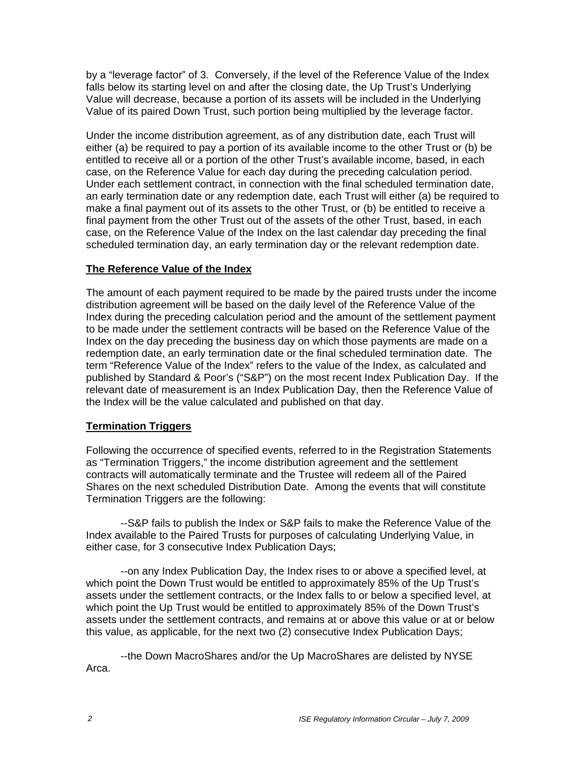by a "leverage factor" of 3. Conversely, if the level of the Reference Value of the Index falls below its starting level on and after the closing date, the Up Trust's Underlying Value will decrease, because a portion of its assets will be included in the Underlying Value of its paired Down Trust, such portion being multiplied by the leverage factor.

Under the income distribution agreement, as of any distribution date, each Trust will either (a) be required to pay a portion of its available income to the other Trust or (b) be entitled to receive all or a portion of the other Trust's available income, based, in each case, on the Reference Value for each day during the preceding calculation period. Under each settlement contract, in connection with the final scheduled termination date, an early termination date or any redemption date, each Trust will either (a) be required to make a final payment out of its assets to the other Trust, or (b) be entitled to receive a final payment from the other Trust out of the assets of the other Trust, based, in each case, on the Reference Value of the Index on the last calendar day preceding the final scheduled termination day, an early termination day or the relevant redemption date.

### **The Reference Value of the Index**

The amount of each payment required to be made by the paired trusts under the income distribution agreement will be based on the daily level of the Reference Value of the Index during the preceding calculation period and the amount of the settlement payment to be made under the settlement contracts will be based on the Reference Value of the Index on the day preceding the business day on which those payments are made on a redemption date, an early termination date or the final scheduled termination date. The term "Reference Value of the Index" refers to the value of the Index, as calculated and published by Standard & Poor's ("S&P") on the most recent Index Publication Day. If the relevant date of measurement is an Index Publication Day, then the Reference Value of the Index will be the value calculated and published on that day.

### **Termination Triggers**

Following the occurrence of specified events, referred to in the Registration Statements as "Termination Triggers," the income distribution agreement and the settlement contracts will automatically terminate and the Trustee will redeem all of the Paired Shares on the next scheduled Distribution Date. Among the events that will constitute Termination Triggers are the following:

--S&P fails to publish the Index or S&P fails to make the Reference Value of the Index available to the Paired Trusts for purposes of calculating Underlying Value, in either case, for 3 consecutive Index Publication Days;

--on any Index Publication Day, the Index rises to or above a specified level, at which point the Down Trust would be entitled to approximately 85% of the Up Trust's assets under the settlement contracts, or the Index falls to or below a specified level, at which point the Up Trust would be entitled to approximately 85% of the Down Trust's assets under the settlement contracts, and remains at or above this value or at or below this value, as applicable, for the next two (2) consecutive Index Publication Days;

--the Down MacroShares and/or the Up MacroShares are delisted by NYSE Arca.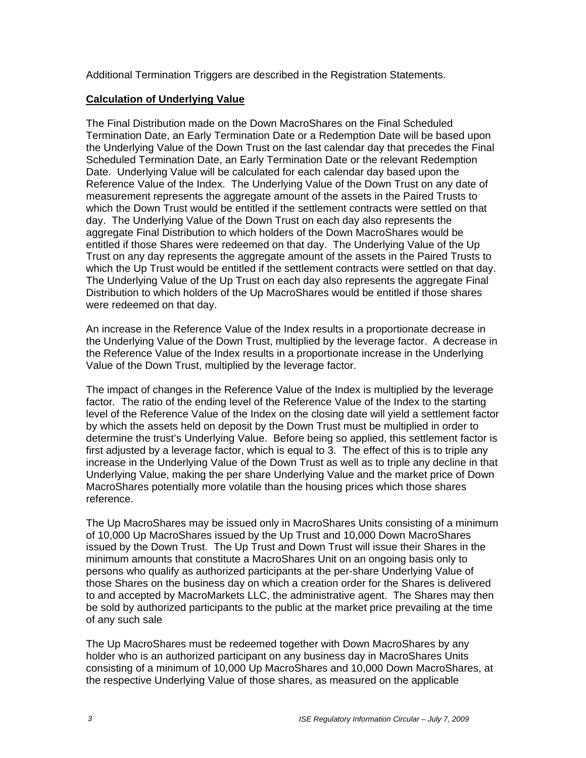Additional Termination Triggers are described in the Registration Statements.

### **Calculation of Underlying Value**

The Final Distribution made on the Down MacroShares on the Final Scheduled Termination Date, an Early Termination Date or a Redemption Date will be based upon the Underlying Value of the Down Trust on the last calendar day that precedes the Final Scheduled Termination Date, an Early Termination Date or the relevant Redemption Date. Underlying Value will be calculated for each calendar day based upon the Reference Value of the Index. The Underlying Value of the Down Trust on any date of measurement represents the aggregate amount of the assets in the Paired Trusts to which the Down Trust would be entitled if the settlement contracts were settled on that day. The Underlying Value of the Down Trust on each day also represents the aggregate Final Distribution to which holders of the Down MacroShares would be entitled if those Shares were redeemed on that day. The Underlying Value of the Up Trust on any day represents the aggregate amount of the assets in the Paired Trusts to which the Up Trust would be entitled if the settlement contracts were settled on that day. The Underlying Value of the Up Trust on each day also represents the aggregate Final Distribution to which holders of the Up MacroShares would be entitled if those shares were redeemed on that day.

An increase in the Reference Value of the Index results in a proportionate decrease in the Underlying Value of the Down Trust, multiplied by the leverage factor. A decrease in the Reference Value of the Index results in a proportionate increase in the Underlying Value of the Down Trust, multiplied by the leverage factor.

The impact of changes in the Reference Value of the Index is multiplied by the leverage factor*.* The ratio of the ending level of the Reference Value of the Index to the starting level of the Reference Value of the Index on the closing date will yield a settlement factor by which the assets held on deposit by the Down Trust must be multiplied in order to determine the trust's Underlying Value. Before being so applied, this settlement factor is first adjusted by a leverage factor, which is equal to 3. The effect of this is to triple any increase in the Underlying Value of the Down Trust as well as to triple any decline in that Underlying Value, making the per share Underlying Value and the market price of Down MacroShares potentially more volatile than the housing prices which those shares reference.

The Up MacroShares may be issued only in MacroShares Units consisting of a minimum of 10,000 Up MacroShares issued by the Up Trust and 10,000 Down MacroShares issued by the Down Trust. The Up Trust and Down Trust will issue their Shares in the minimum amounts that constitute a MacroShares Unit on an ongoing basis only to persons who qualify as authorized participants at the per-share Underlying Value of those Shares on the business day on which a creation order for the Shares is delivered to and accepted by MacroMarkets LLC, the administrative agent. The Shares may then be sold by authorized participants to the public at the market price prevailing at the time of any such sale

The Up MacroShares must be redeemed together with Down MacroShares by any holder who is an authorized participant on any business day in MacroShares Units consisting of a minimum of 10,000 Up MacroShares and 10,000 Down MacroShares, at the respective Underlying Value of those shares, as measured on the applicable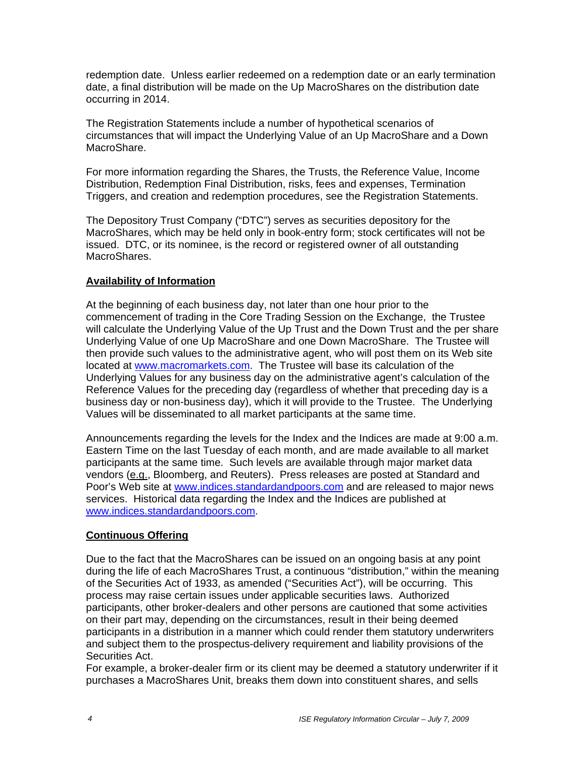redemption date. Unless earlier redeemed on a redemption date or an early termination date, a final distribution will be made on the Up MacroShares on the distribution date occurring in 2014.

The Registration Statements include a number of hypothetical scenarios of circumstances that will impact the Underlying Value of an Up MacroShare and a Down MacroShare.

For more information regarding the Shares, the Trusts, the Reference Value, Income Distribution, Redemption Final Distribution, risks, fees and expenses, Termination Triggers, and creation and redemption procedures, see the Registration Statements.

The Depository Trust Company ("DTC") serves as securities depository for the MacroShares, which may be held only in book-entry form; stock certificates will not be issued. DTC, or its nominee, is the record or registered owner of all outstanding MacroShares.

## **Availability of Information**

At the beginning of each business day, not later than one hour prior to the commencement of trading in the Core Trading Session on the Exchange, the Trustee will calculate the Underlying Value of the Up Trust and the Down Trust and the per share Underlying Value of one Up MacroShare and one Down MacroShare. The Trustee will then provide such values to the administrative agent, who will post them on its Web site located at www.macromarkets.com. The Trustee will base its calculation of the Underlying Values for any business day on the administrative agent's calculation of the Reference Values for the preceding day (regardless of whether that preceding day is a business day or non-business day), which it will provide to the Trustee. The Underlying Values will be disseminated to all market participants at the same time.

Announcements regarding the levels for the Index and the Indices are made at 9:00 a.m. Eastern Time on the last Tuesday of each month, and are made available to all market participants at the same time. Such levels are available through major market data vendors (e.g., Bloomberg, and Reuters). Press releases are posted at Standard and Poor's Web site at www.indices.standardandpoors.com and are released to major news services. Historical data regarding the Index and the Indices are published at www.indices.standardandpoors.com.

### **Continuous Offering**

Due to the fact that the MacroShares can be issued on an ongoing basis at any point during the life of each MacroShares Trust, a continuous "distribution," within the meaning of the Securities Act of 1933, as amended ("Securities Act"), will be occurring. This process may raise certain issues under applicable securities laws. Authorized participants, other broker-dealers and other persons are cautioned that some activities on their part may, depending on the circumstances, result in their being deemed participants in a distribution in a manner which could render them statutory underwriters and subject them to the prospectus-delivery requirement and liability provisions of the Securities Act.

For example, a broker-dealer firm or its client may be deemed a statutory underwriter if it purchases a MacroShares Unit, breaks them down into constituent shares, and sells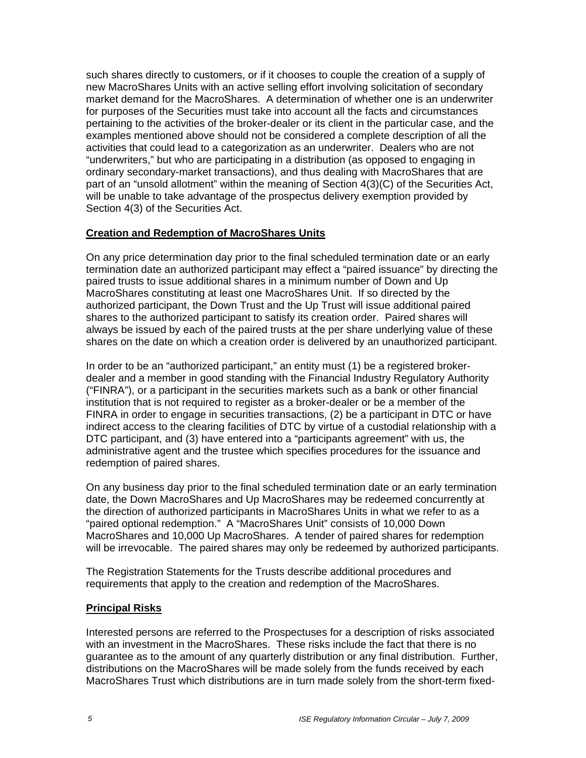such shares directly to customers, or if it chooses to couple the creation of a supply of new MacroShares Units with an active selling effort involving solicitation of secondary market demand for the MacroShares. A determination of whether one is an underwriter for purposes of the Securities must take into account all the facts and circumstances pertaining to the activities of the broker-dealer or its client in the particular case, and the examples mentioned above should not be considered a complete description of all the activities that could lead to a categorization as an underwriter. Dealers who are not "underwriters," but who are participating in a distribution (as opposed to engaging in ordinary secondary-market transactions), and thus dealing with MacroShares that are part of an "unsold allotment" within the meaning of Section 4(3)(C) of the Securities Act, will be unable to take advantage of the prospectus delivery exemption provided by Section 4(3) of the Securities Act.

### **Creation and Redemption of MacroShares Units**

On any price determination day prior to the final scheduled termination date or an early termination date an authorized participant may effect a "paired issuance" by directing the paired trusts to issue additional shares in a minimum number of Down and Up MacroShares constituting at least one MacroShares Unit. If so directed by the authorized participant, the Down Trust and the Up Trust will issue additional paired shares to the authorized participant to satisfy its creation order. Paired shares will always be issued by each of the paired trusts at the per share underlying value of these shares on the date on which a creation order is delivered by an unauthorized participant.

In order to be an "authorized participant," an entity must (1) be a registered brokerdealer and a member in good standing with the Financial Industry Regulatory Authority ("FINRA"), or a participant in the securities markets such as a bank or other financial institution that is not required to register as a broker-dealer or be a member of the FINRA in order to engage in securities transactions, (2) be a participant in DTC or have indirect access to the clearing facilities of DTC by virtue of a custodial relationship with a DTC participant, and (3) have entered into a "participants agreement" with us, the administrative agent and the trustee which specifies procedures for the issuance and redemption of paired shares.

On any business day prior to the final scheduled termination date or an early termination date, the Down MacroShares and Up MacroShares may be redeemed concurrently at the direction of authorized participants in MacroShares Units in what we refer to as a "paired optional redemption." A "MacroShares Unit" consists of 10,000 Down MacroShares and 10,000 Up MacroShares. A tender of paired shares for redemption will be irrevocable. The paired shares may only be redeemed by authorized participants.

The Registration Statements for the Trusts describe additional procedures and requirements that apply to the creation and redemption of the MacroShares.

### **Principal Risks**

Interested persons are referred to the Prospectuses for a description of risks associated with an investment in the MacroShares. These risks include the fact that there is no guarantee as to the amount of any quarterly distribution or any final distribution. Further, distributions on the MacroShares will be made solely from the funds received by each MacroShares Trust which distributions are in turn made solely from the short-term fixed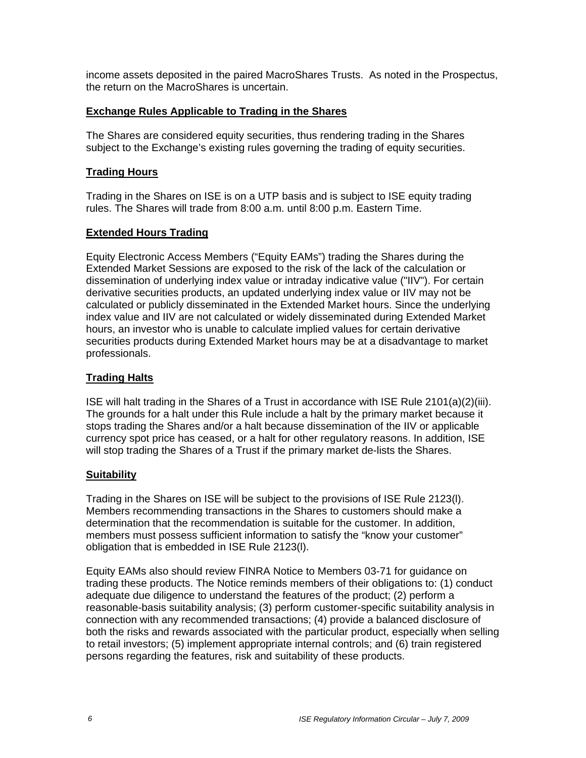income assets deposited in the paired MacroShares Trusts. As noted in the Prospectus, the return on the MacroShares is uncertain.

### **Exchange Rules Applicable to Trading in the Shares**

The Shares are considered equity securities, thus rendering trading in the Shares subject to the Exchange's existing rules governing the trading of equity securities.

## **Trading Hours**

Trading in the Shares on ISE is on a UTP basis and is subject to ISE equity trading rules. The Shares will trade from 8:00 a.m. until 8:00 p.m. Eastern Time.

## **Extended Hours Trading**

Equity Electronic Access Members ("Equity EAMs") trading the Shares during the Extended Market Sessions are exposed to the risk of the lack of the calculation or dissemination of underlying index value or intraday indicative value ("IIV"). For certain derivative securities products, an updated underlying index value or IIV may not be calculated or publicly disseminated in the Extended Market hours. Since the underlying index value and IIV are not calculated or widely disseminated during Extended Market hours, an investor who is unable to calculate implied values for certain derivative securities products during Extended Market hours may be at a disadvantage to market professionals.

## **Trading Halts**

ISE will halt trading in the Shares of a Trust in accordance with ISE Rule 2101(a)(2)(iii). The grounds for a halt under this Rule include a halt by the primary market because it stops trading the Shares and/or a halt because dissemination of the IIV or applicable currency spot price has ceased, or a halt for other regulatory reasons. In addition, ISE will stop trading the Shares of a Trust if the primary market de-lists the Shares.

### **Suitability**

Trading in the Shares on ISE will be subject to the provisions of ISE Rule 2123(l). Members recommending transactions in the Shares to customers should make a determination that the recommendation is suitable for the customer. In addition, members must possess sufficient information to satisfy the "know your customer" obligation that is embedded in ISE Rule 2123(l).

Equity EAMs also should review FINRA Notice to Members 03-71 for guidance on trading these products. The Notice reminds members of their obligations to: (1) conduct adequate due diligence to understand the features of the product; (2) perform a reasonable-basis suitability analysis; (3) perform customer-specific suitability analysis in connection with any recommended transactions; (4) provide a balanced disclosure of both the risks and rewards associated with the particular product, especially when selling to retail investors; (5) implement appropriate internal controls; and (6) train registered persons regarding the features, risk and suitability of these products.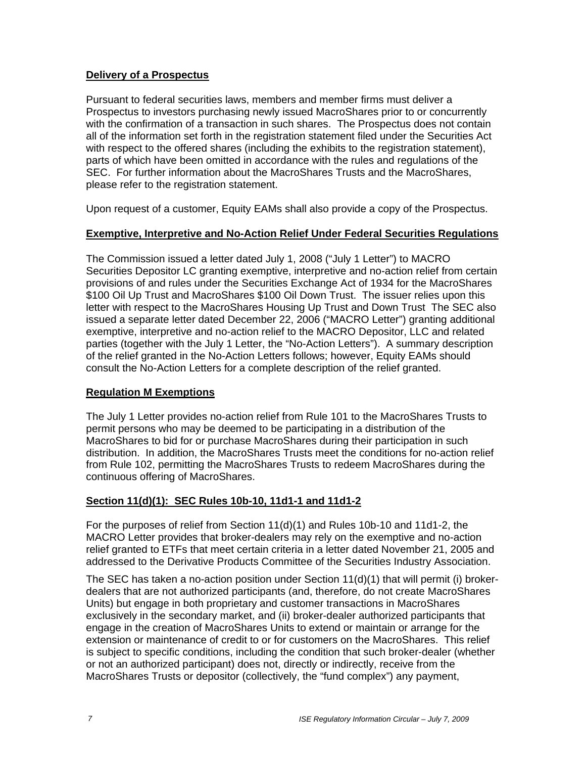### **Delivery of a Prospectus**

Pursuant to federal securities laws, members and member firms must deliver a Prospectus to investors purchasing newly issued MacroShares prior to or concurrently with the confirmation of a transaction in such shares. The Prospectus does not contain all of the information set forth in the registration statement filed under the Securities Act with respect to the offered shares (including the exhibits to the registration statement), parts of which have been omitted in accordance with the rules and regulations of the SEC. For further information about the MacroShares Trusts and the MacroShares, please refer to the registration statement.

Upon request of a customer, Equity EAMs shall also provide a copy of the Prospectus.

## **Exemptive, Interpretive and No-Action Relief Under Federal Securities Regulations**

The Commission issued a letter dated July 1, 2008 ("July 1 Letter") to MACRO Securities Depositor LC granting exemptive, interpretive and no-action relief from certain provisions of and rules under the Securities Exchange Act of 1934 for the MacroShares \$100 Oil Up Trust and MacroShares \$100 Oil Down Trust. The issuer relies upon this letter with respect to the MacroShares Housing Up Trust and Down Trust The SEC also issued a separate letter dated December 22, 2006 ("MACRO Letter") granting additional exemptive, interpretive and no-action relief to the MACRO Depositor, LLC and related parties (together with the July 1 Letter, the "No-Action Letters"). A summary description of the relief granted in the No-Action Letters follows; however, Equity EAMs should consult the No-Action Letters for a complete description of the relief granted.

# **Regulation M Exemptions**

The July 1 Letter provides no-action relief from Rule 101 to the MacroShares Trusts to permit persons who may be deemed to be participating in a distribution of the MacroShares to bid for or purchase MacroShares during their participation in such distribution. In addition, the MacroShares Trusts meet the conditions for no-action relief from Rule 102, permitting the MacroShares Trusts to redeem MacroShares during the continuous offering of MacroShares.

# **Section 11(d)(1): SEC Rules 10b-10, 11d1-1 and 11d1-2**

For the purposes of relief from Section 11(d)(1) and Rules 10b-10 and 11d1-2, the MACRO Letter provides that broker-dealers may rely on the exemptive and no-action relief granted to ETFs that meet certain criteria in a letter dated November 21, 2005 and addressed to the Derivative Products Committee of the Securities Industry Association.

The SEC has taken a no-action position under Section 11(d)(1) that will permit (i) brokerdealers that are not authorized participants (and, therefore, do not create MacroShares Units) but engage in both proprietary and customer transactions in MacroShares exclusively in the secondary market, and (ii) broker-dealer authorized participants that engage in the creation of MacroShares Units to extend or maintain or arrange for the extension or maintenance of credit to or for customers on the MacroShares. This relief is subject to specific conditions, including the condition that such broker-dealer (whether or not an authorized participant) does not, directly or indirectly, receive from the MacroShares Trusts or depositor (collectively, the "fund complex") any payment,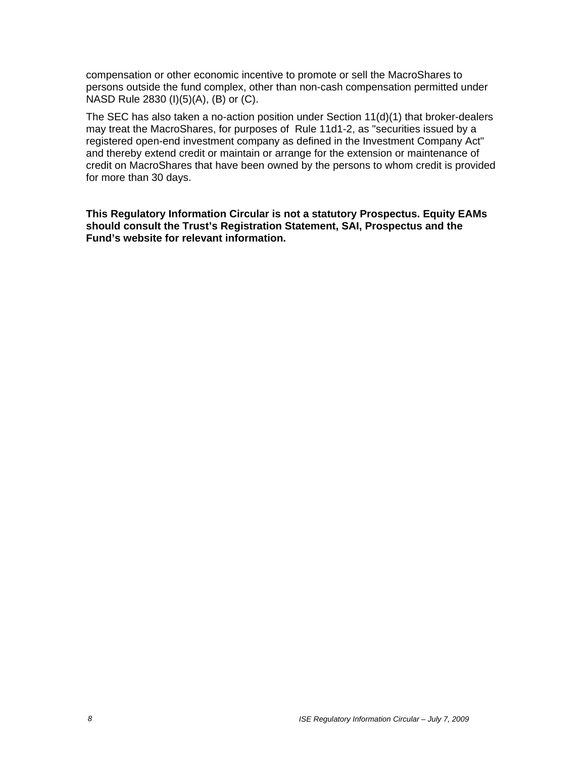compensation or other economic incentive to promote or sell the MacroShares to persons outside the fund complex, other than non-cash compensation permitted under NASD Rule 2830 (I)(5)(A), (B) or (C).

The SEC has also taken a no-action position under Section 11(d)(1) that broker-dealers may treat the MacroShares, for purposes of Rule 11d1-2, as "securities issued by a registered open-end investment company as defined in the Investment Company Act" and thereby extend credit or maintain or arrange for the extension or maintenance of credit on MacroShares that have been owned by the persons to whom credit is provided for more than 30 days.

**This Regulatory Information Circular is not a statutory Prospectus. Equity EAMs should consult the Trust's Registration Statement, SAI, Prospectus and the Fund's website for relevant information.**